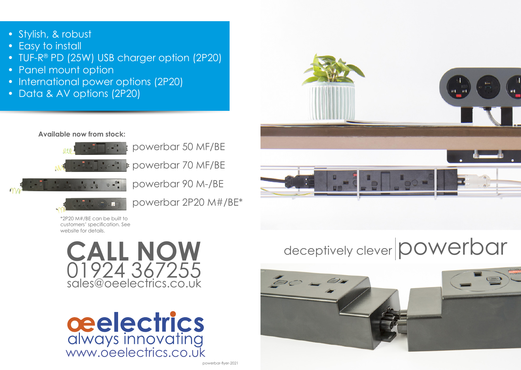- Stylish, & robust
- Easy to install
- TUF-R® PD (25W) USB charger option (2P20)
- Panel mount option
- International power options (2P20)
- Data & AV options (2P20)

## **Available now from stock:**



powerbar 50 MF/BE powerbar 70 MF/BE



powerbar 90 M-/BE



powerbar 2P20 M#/BE\*

\*2P20 M#/BE can be built to customers' specification. See website for details.





## deceptively clever **powerbar**